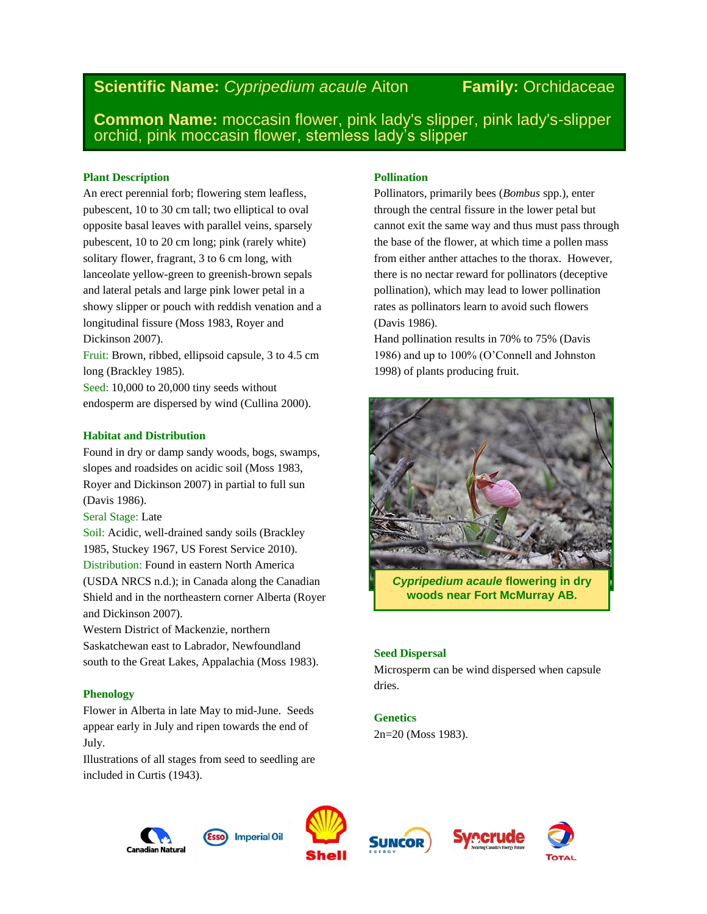# **Scientific Name:** *Cypripedium acaule* Aiton **Family:** Orchidaceae

**Common Name:** moccasin flower, pink lady's slipper, pink lady's-slipper orchid, pink moccasin flower, stemless lady's slipper

## **Plant Description**

An erect perennial forb; flowering stem leafless, pubescent, 10 to 30 cm tall; two elliptical to oval opposite basal leaves with parallel veins, sparsely pubescent, 10 to 20 cm long; pink (rarely white) solitary flower, fragrant, 3 to 6 cm long, with lanceolate yellow-green to greenish-brown sepals and lateral petals and large pink lower petal in a showy slipper or pouch with reddish venation and a longitudinal fissure (Moss 1983, Royer and Dickinson 2007).

Fruit: Brown, ribbed, ellipsoid capsule, 3 to 4.5 cm long (Brackley 1985).

Seed: 10,000 to 20,000 tiny seeds without endosperm are dispersed by wind (Cullina 2000).

# **Habitat and Distribution**

Found in dry or damp sandy woods, bogs, swamps, slopes and roadsides on acidic soil (Moss 1983, Royer and Dickinson 2007) in partial to full sun (Davis 1986).

Seral Stage: Late

Soil: Acidic, well-drained sandy soils (Brackley 1985, Stuckey 1967, US Forest Service 2010). Distribution: Found in eastern North America (USDA NRCS n.d.); in Canada along the Canadian Shield and in the northeastern corner Alberta (Royer and Dickinson 2007).

Western District of Mackenzie, northern Saskatchewan east to Labrador, Newfoundland south to the Great Lakes, Appalachia (Moss 1983).

# **Phenology**

Flower in Alberta in late May to mid-June. Seeds appear early in July and ripen towards the end of July.

Illustrations of all stages from seed to seedling are included in Curtis (1943).

# **Pollination**

Pollinators, primarily bees (*Bombus* spp.), enter through the central fissure in the lower petal but cannot exit the same way and thus must pass through the base of the flower, at which time a pollen mass from either anther attaches to the thorax. However, there is no nectar reward for pollinators (deceptive pollination), which may lead to lower pollination rates as pollinators learn to avoid such flowers (Davis 1986).

Hand pollination results in 70% to 75% (Davis 1986) and up to 100% (O'Connell and Johnston 1998) of plants producing fruit.



*Cypripedium acaule* **flowering in dry woods near Fort McMurray AB.**

# **Seed Dispersal**

Microsperm can be wind dispersed when capsule dries.

# **Genetics**

2n=20 (Moss 1983).









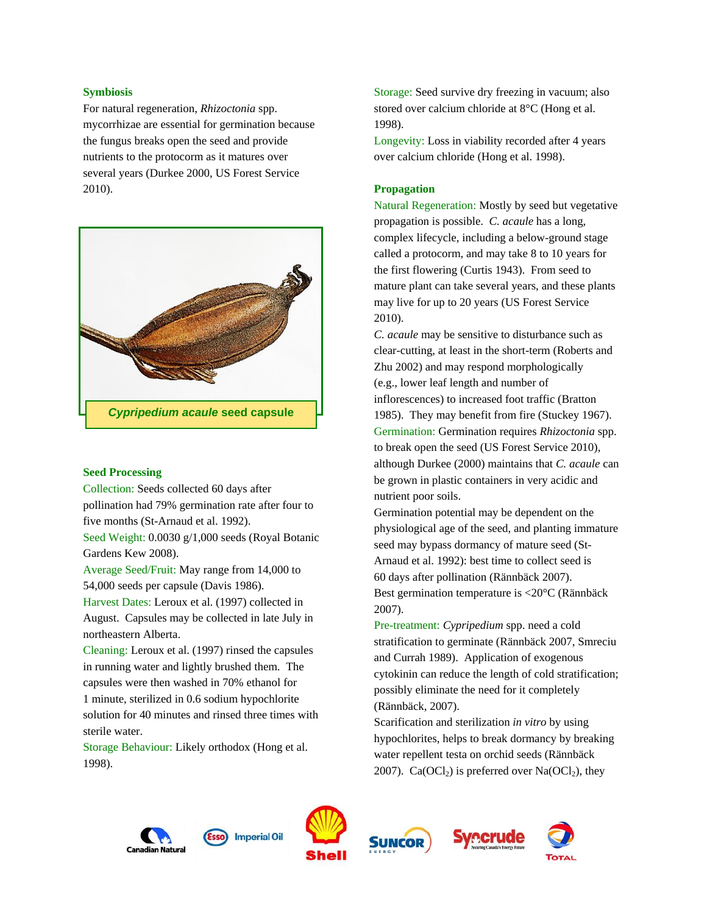## **Symbiosis**

For natural regeneration, *Rhizoctonia* spp. mycorrhizae are essential for germination because the fungus breaks open the seed and provide nutrients to the protocorm as it matures over several years (Durkee 2000, US Forest Service 2010).



## **Seed Processing**

Collection: Seeds collected 60 days after pollination had 79% germination rate after four to five months (St-Arnaud et al. 1992).

Seed Weight: 0.0030 g/1,000 seeds (Royal Botanic Gardens Kew 2008).

Average Seed/Fruit: May range from 14,000 to 54,000 seeds per capsule (Davis 1986).

Harvest Dates: Leroux et al. (1997) collected in August. Capsules may be collected in late July in northeastern Alberta.

Cleaning: Leroux et al. (1997) rinsed the capsules in running water and lightly brushed them. The capsules were then washed in 70% ethanol for 1 minute, sterilized in 0.6 sodium hypochlorite solution for 40 minutes and rinsed three times with sterile water.

Storage Behaviour: Likely orthodox (Hong et al. 1998).

Storage: Seed survive dry freezing in vacuum; also stored over calcium chloride at 8°C (Hong et al. 1998).

Longevity: Loss in viability recorded after 4 years over calcium chloride (Hong et al. 1998).

## **Propagation**

Natural Regeneration: Mostly by seed but vegetative propagation is possible. *C. acaule* has a long, complex lifecycle, including a below-ground stage called a protocorm, and may take 8 to 10 years for the first flowering (Curtis 1943). From seed to mature plant can take several years, and these plants may live for up to 20 years (US Forest Service 2010).

*C. acaule* may be sensitive to disturbance such as clear-cutting, at least in the short-term (Roberts and Zhu 2002) and may respond morphologically (e.g., lower leaf length and number of inflorescences) to increased foot traffic (Bratton 1985). They may benefit from fire (Stuckey 1967). Germination: Germination requires *Rhizoctonia* spp. to break open the seed (US Forest Service 2010), although Durkee (2000) maintains that *C. acaule* can be grown in plastic containers in very acidic and nutrient poor soils.

Germination potential may be dependent on the physiological age of the seed, and planting immature seed may bypass dormancy of mature seed (St-Arnaud et al. 1992): best time to collect seed is 60 days after pollination (Rännbäck 2007). Best germination temperature is <20°C (Rännbäck 2007).

Pre-treatment: *Cypripedium* spp. need a cold stratification to germinate (Rännbäck 2007, Smreciu and Currah 1989). Application of exogenous cytokinin can reduce the length of cold stratification; possibly eliminate the need for it completely (Rännbäck, 2007).

Scarification and sterilization *in vitro* by using hypochlorites, helps to break dormancy by breaking water repellent testa on orchid seeds (Rännbäck 2007). Ca(OCl<sub>2</sub>) is preferred over  $Na(OCl<sub>2</sub>)$ , they





**Imperial Oil** 





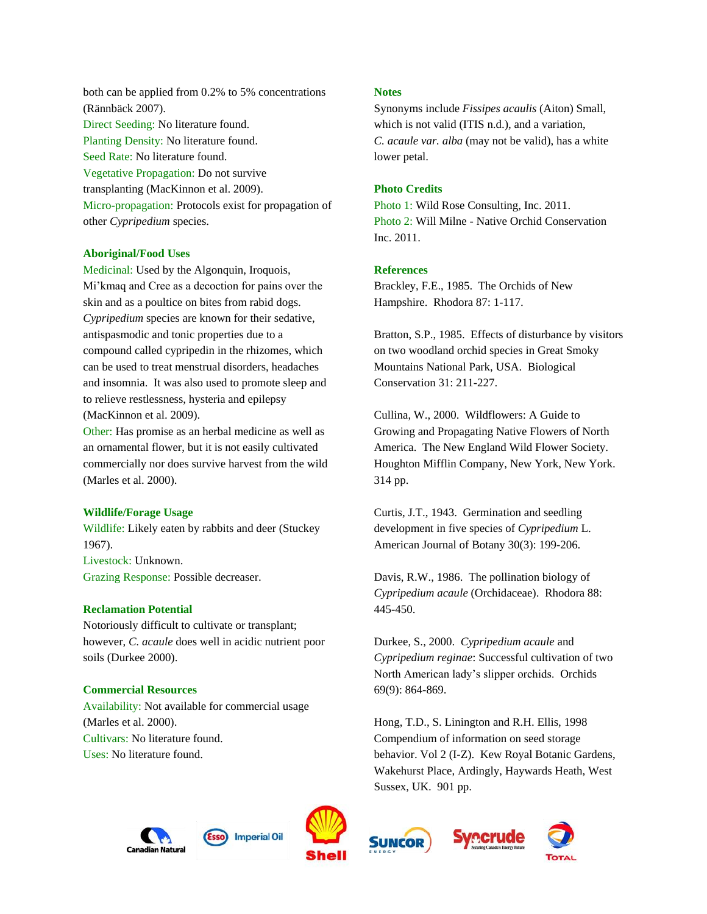both can be applied from 0.2% to 5% concentrations (Rännbäck 2007). Direct Seeding: No literature found. Planting Density: No literature found. Seed Rate: No literature found. Vegetative Propagation: Do not survive transplanting (MacKinnon et al. 2009). Micro-propagation: Protocols exist for propagation of other *Cypripedium* species.

## **Aboriginal/Food Uses**

Medicinal: Used by the Algonquin, Iroquois, Mi'kmaq and Cree as a decoction for pains over the skin and as a poultice on bites from rabid dogs. *Cypripedium* species are known for their sedative, antispasmodic and tonic properties due to a compound called cypripedin in the rhizomes, which can be used to treat menstrual disorders, headaches and insomnia. It was also used to promote sleep and to relieve restlessness, hysteria and epilepsy (MacKinnon et al. 2009).

Other: Has promise as an herbal medicine as well as an ornamental flower, but it is not easily cultivated commercially nor does survive harvest from the wild (Marles et al. 2000).

## **Wildlife/Forage Usage**

Wildlife: Likely eaten by rabbits and deer (Stuckey 1967). Livestock: Unknown. Grazing Response: Possible decreaser.

#### **Reclamation Potential**

Notoriously difficult to cultivate or transplant; however, *C. acaule* does well in acidic nutrient poor soils (Durkee 2000).

#### **Commercial Resources**

Availability: Not available for commercial usage (Marles et al. 2000). Cultivars: No literature found. Uses: No literature found.

### **Notes**

Synonyms include *Fissipes acaulis* (Aiton) Small, which is not valid (ITIS n.d.), and a variation, *C. acaule var. alba* (may not be valid), has a white lower petal.

## **Photo Credits**

Photo 1: Wild Rose Consulting, Inc. 2011. Photo 2: Will Milne - Native Orchid Conservation Inc. 2011.

### **References**

Brackley, F.E., 1985. The Orchids of New Hampshire. Rhodora 87: 1-117.

Bratton, S.P., 1985. Effects of disturbance by visitors on two woodland orchid species in Great Smoky Mountains National Park, USA. Biological Conservation 31: 211-227.

Cullina, W., 2000. Wildflowers: A Guide to Growing and Propagating Native Flowers of North America. The New England Wild Flower Society. Houghton Mifflin Company, New York, New York. 314 pp.

Curtis, J.T., 1943. Germination and seedling development in five species of *Cypripedium* L. American Journal of Botany 30(3): 199-206.

Davis, R.W., 1986. The pollination biology of *Cypripedium acaule* (Orchidaceae). Rhodora 88: 445-450.

Durkee, S., 2000. *Cypripedium acaule* and *Cypripedium reginae*: Successful cultivation of two North American lady's slipper orchids. Orchids 69(9): 864-869.

Hong, T.D., S. Linington and R.H. Ellis, 1998 Compendium of information on seed storage behavior. Vol 2 (I-Z). Kew Royal Botanic Gardens, Wakehurst Place, Ardingly, Haywards Heath, West Sussex, UK. 901 pp.

ocrude